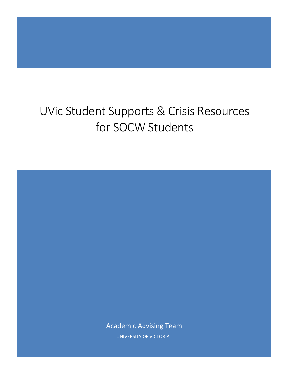# UVic Student Supports & Crisis Resources for SOCW Students

Academic Advising Team UNIVERSITY OF VICTORIA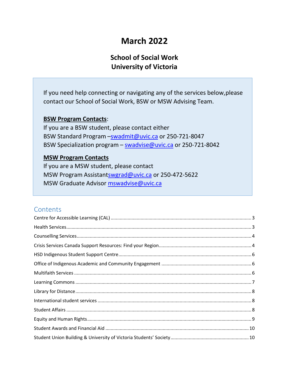## **March 2022**

### **School of Social Work University of Victoria**

If you need help connecting or navigating any of the services below,please contact our School of Social Work, BSW or MSW Advising Team.

### **BSW Program Contacts**:

If you are a BSW student, please contact either BSW Standard Program -[swadmit@uvic.ca](mailto:swadmit@uvic.ca) or 250-721-8047 BSW Specialization program - [swadvise@uvic.ca](mailto:swadvise@uvic.ca) or 250-721-8042

### **MSW Program Contacts**

If you are a MSW student, please contact MSW Program Assistan[tswgrad@uvic.ca](mailto:swgrad@uvic.ca) or 250-472-5622 MSW Graduate Advisor [mswadvise@uvic.ca](mailto:mswadvise@uvic.ca)

### **Contents**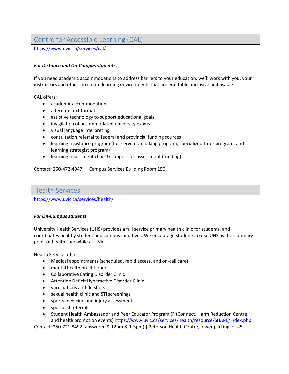### <span id="page-2-0"></span>Centre for Accessible Learning (CAL)

<https://www.uvic.ca/services/cal/>

### *For Distance and On-Campus students.*

If you need academic accommodations to address barriers to your education, we'll work with you, your instructors and others to create learning environments that are equitable, inclusive and usable.

CAL offers:

- academic accommodations
- alternate text formats
- assistive technology to support educational goals
- invigilation of accommodated university exams
- visual language interpreting
- consultation referral to federal and provincial funding sources
- learning assistance program (full-serve note taking program, specialized tutor program, and learning strategist program)
- learning assessment clinic & support for assessment (funding)

Contact: 250-472-4947 | Campus Services Building Room 150

### <span id="page-2-1"></span>Health Services

<https://www.uvic.ca/services/health/>

#### *For On-Campus students*

University Health Services (UHS) provides a full service primary health clinic for students, and coordinates healthy student and campus initiatives. We encourage students to use UHS as their primary point of health care while at UVic.

Health Service offers:

- Medical appointments (scheduled, rapid access, and on-call care)
- mental health practitioner
- Collaborative Eating Disorder Clinic
- Attention Deficit Hyperactive Disorder Clinic
- vaccinations and flu shots
- sexual health clinic and STI screenings
- sports medicine and injury assessments
- specialist referrals
- Student Health Ambassador and Peer Educator Program (FitConnect, Harm Reduction Centre, and health promotion events) <https://www.uvic.ca/services/health/resource/SHAPE/index.php>

Contact: 250-721-8492 (answered 9-12pm & 1-3pm) | Peterson Health Centre, lower parking lot #5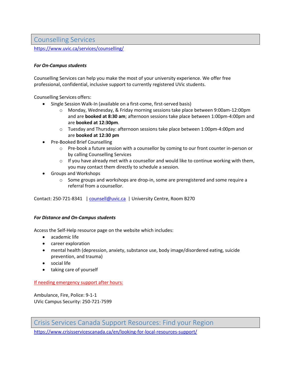### <span id="page-3-0"></span>Counselling Services

<https://www.uvic.ca/services/counselling/>

### *For On-Campus students*

Counselling Services can help you make the most of your university experience. We offer free professional, confidential, inclusive support to currently registered UVic students.

Counselling Services offers:

- Single Session Walk-In (available on a first-come, first-served basis)
	- o Monday, Wednesday, & Friday morning sessions take place between 9:00am-12:00pm and are **booked at 8:30 am**; afternoon sessions take place between 1:00pm-4:00pm and are **booked at 12:30pm**.
	- o Tuesday and Thursday: afternoon sessions take place between 1:00pm-4:00pm and are **booked at 12:30 pm**
- Pre-Booked Brief Counselling
	- o Pre-book a future session with a counsellor by coming to our front counter in-person or by calling Counselling Services
	- $\circ$  If you have already met with a counsellor and would like to continue working with them, you may contact them directly to schedule a session.
- Groups and Workshops
	- $\circ$  Some groups and workshops are drop-in, some are preregistered and some require a referral from a counsellor.

Contact: 250-721-8341 | [counsell@uvic.ca](mailto:counsell@uvic.ca) | University Centre, Room B270

#### *For Distance and On-Campus students*

Access the Self-Help resource page on the website which includes:

- academic life
- career exploration
- mental health (depression, anxiety, substance use, body image/disordered eating, suicide prevention, and trauma)
- social life
- taking care of yourself

#### If needing emergency support after hours:

Ambulance, Fire, Police: 9-1-1 UVic Campus Security: 250-721-7599

<span id="page-3-1"></span>Crisis Services Canada Support Resources: Find your Region

<https://www.crisisservicescanada.ca/en/looking-for-local-resources-support/>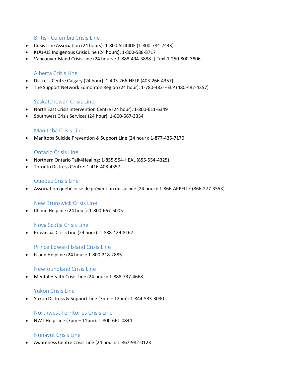### British Columbia Crisis Line

- Crisis Line Association (24 hours): 1-800-SUICIDE (1-800-784-2433)
- KUU-US Indigenous Crisis Line (24 hours): 1-800-588-8717
- Vancouver Island Crisis Line (24 hours): 1-888-494-3888 | Text 1-250-800-3806

### Alberta Crisis Line

- Distress Centre Calgary (24 hour): 1-403-266-HELP (403-266-4357)
- The Support Network Edmonton Region (24 hour): 1-780-482-HELP (480-482-4357)

### Saskatchewan Crisis Line

- North East CrisisIntervention Centre (24 hour): 1-800-611-6349
- Southwest Crisis Services (24 hour): 1-800-567-3334

### Manitoba Crisis Line

Manitoba Suicide Prevention & Support Line (24 hour): 1-877-435-7170

### Ontario Crisis Line

- Northern Ontario Talk4Healing: 1-855-554-HEAL (855-554-4325)
- Toronto Distress Centre: 1-416-408-4357

### Quebec Crisis Line

[Association](http://www.aqps.info/) québécoise de prévention du suicide (24 hour): 1-866-APPELLE (866-277-3553)

### New Brunswick Crisis Line

Chimo Helpline (24 hour): 1-800-667-5005

### Nova Scotia Crisis Line

• Provincial Crisis Line (24 hour): 1-888-429-8167

### Prince Edward Island Crisis Line

Island Helpline (24 hour): 1-800-218-2885

### Newfoundland Crisis Line

Mental Health Crisis Line (24 hour): 1-888-737-4668

### Yukon Crisis Line

Yukon Distress & Support Line (7pm – 12am): 1-844-533-3030

### Northwest Territories Crisis Line

NWT Help Line (7pm – 11pm): 1-800-661-0844

### Nunavut Crisis Line

Awareness Centre Crisis Line (24 hour): 1-867-982-0123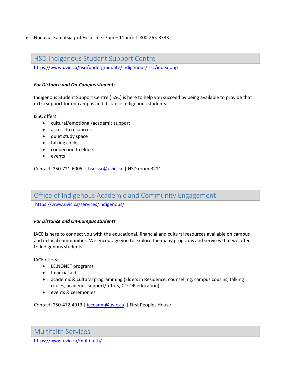Nunavut Kamatsiaqtut Help Line (7pm – 11pm): 1-800-265-3333

### <span id="page-5-0"></span>HSD Indigenous Student Support Centre

<https://www.uvic.ca/hsd/undergraduate/indigenous/issc/index.php>

### *For Distance and On-Campus students*

Indigenous Student Support Centre (ISSC) is here to help you succeed by being available to provide that extra support for on-campus and distance Indigenous students.

ISSC offers:

- cultural/emotional/academic support
- access to resources
- quiet study space
- talking circles
- connection to elders
- events

Contact: 250-721-6005 | [hsdissc@uvic.ca](mailto:hsdissc@uvic.ca) | HSD room B211

<span id="page-5-1"></span>Office of Indigenous Academic and Community Engagement

<https://www.uvic.ca/services/indigenous/>

### *For Distance and On-Campus students*

IACE is here to connect you with the educational, financial and cultural resources available on campus and in local communities. We encourage you to explore the many programs and services that we offer to Indigenous students.

IACE offers:

- LE, NONET programs
- financial aid
- academic & cultural programming (Elders in Residence, counselling, campus cousins, talking circles, academic support/tutors, CO-OP education)
- events & ceremonies

Contact: 250-472-4913 | [iaceadm@uvic.ca](mailto:iaceadm@uvic.ca) | First Peoples House

<span id="page-5-2"></span>Multifaith Services

<https://www.uvic.ca/multifaith/>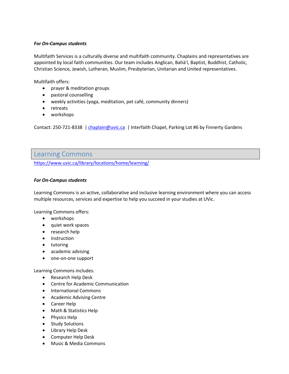#### *For On-Campus students*

Multifaith Services is a culturally diverse and multifaith community. Chaplains and representatives are appointed by local faith communities. Our team includes Anglican, Bahà'í, Baptist, Buddhist, Catholic, Christian Science, Jewish, Lutheran, Muslim, Presbyterian, Unitarian and United representatives.

Multifaith offers:

- prayer & meditation groups
- pastoral counselling
- weekly activities (yoga, meditation, pet café, community dinners)
- retreats
- workshops

Contact: 250-721-8338 | [chaplain@uvic.ca](mailto:chaplain@uvic.ca) | Interfaith Chapel, Parking Lot #6 by Finnerty Gardens

### <span id="page-6-0"></span>Learning Commons

<https://www.uvic.ca/library/locations/home/learning/>

### *For On-Campus students*

Learning Commons is an active, collaborative and inclusive learning environment where you can access multiple resources, services and expertise to help you succeed in your studies at UVic.

Learning Commons offers:

- workshops
- quiet work spaces
- research help
- **•** instruction
- tutoring
- academic advising
- one-on-one support

Learning Commons includes:

- Research Help Desk
- Centre for Academic Communication
- International Commons
- Academic Advising Centre
- Career Help
- Math & Statistics Help
- Physics Help
- Study Solutions
- Library Help Desk
- Computer Help Desk
- Music & Media Commons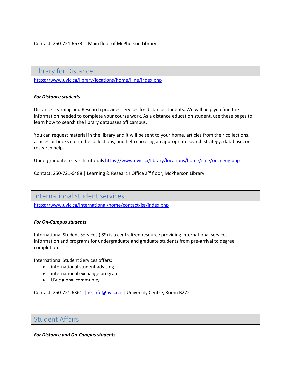<span id="page-7-0"></span>Library for Distance

<https://www.uvic.ca/library/locations/home/iline/index.php>

#### *For Distance students*

Distance Learning and Research provides services for distance students. We will help you find the information needed to complete your course work. As a distance education student, use these pages to learn how to search the library databases off campus.

You can request material in the library and it will be sent to your home, articles from their collections, articles or books not in the collections, and help choosing an appropriate search strategy, database, or research help.

Undergraduate research tutorials <https://www.uvic.ca/library/locations/home/iline/onlineug.php>

Contact: 250-721-6488 | Learning & Research Office 2<sup>nd</sup> floor, McPherson Library

### <span id="page-7-1"></span>International student services

<https://www.uvic.ca/international/home/contact/iss/index.php>

#### *For On-Campus students*

International Student Services (ISS) is a centralized resource providing international services, information and programs for undergraduate and graduate students from pre-arrival to degree completion.

International Student Services offers:

- international student advising
- international exchange program
- UVic global community.

Contact: 250-721-6361 | [issinfo@uvic.ca](mailto:issinfo@uvic.ca) | University Centre, Room B272

### <span id="page-7-2"></span>Student Affairs

#### *For Distance and On-Campus students*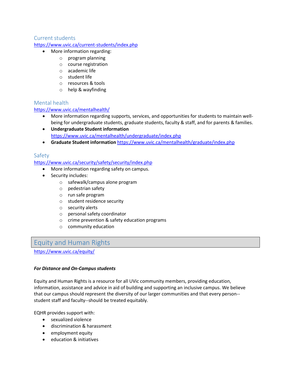### Current students

### <https://www.uvic.ca/current-students/index.php>

- More information regarding:
	- o program planning
		- o course registration
		- o academic life
		- o student life
	- o resources & tools
	- o help & wayfinding

### Mental health

### <https://www.uvic.ca/mentalhealth/>

- More information regarding supports, services, and opportunities for students to maintain wellbeing for undergraduate students, graduate students, faculty & staff, and for parents & families.
- **Undergraduate Student information** <https://www.uvic.ca/mentalhealth/undergraduate/index.php>
- **Graduate Student information** <https://www.uvic.ca/mentalhealth/graduate/index.php>

### Safety

### <https://www.uvic.ca/security/safety/security/index.php>

- More information regarding safety on campus.
- Security includes:
	- o safewalk/campus alone program
	- o pedestrian safety
	- o run safe program
	- o student residence security
	- o security alerts
	- o personal safety coordinator
	- o crime prevention & safety education programs
	- o community education

### <span id="page-8-0"></span>Equity and Human Rights

<https://www.uvic.ca/equity/>

#### *For Distance and On-Campus students*

Equity and Human Rights is a resource for all UVic community members, providing education, information, assistance and advice in aid of building and supporting an inclusive campus. We believe that our campus should represent the diversity of our larger communities and that every person- student staff and faculty--should be treated equitably.

EQHR provides support with:

- sexualized violence
- discrimination & harassment
- employment equity
- education & initiatives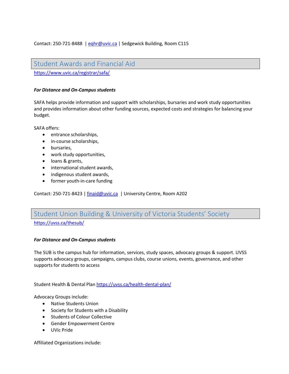### <span id="page-9-0"></span>Student Awards and Financial Aid

<https://www.uvic.ca/registrar/safa/>

#### *For Distance and On-Campus students*

SAFA helps provide information and support with scholarships, bursaries and work study opportunities and provides information about other funding sources, expected costs and strategies for balancing your budget.

SAFA offers:

- entrance scholarships,
- in-course scholarships,
- bursaries,
- work study opportunities,
- loans & grants,
- international student awards,
- indigenous student awards,
- former youth-in-care funding

Contact: 250-721-8423 | [finaid@uvic.ca](mailto:finaid@uvic.ca) | University Centre, Room A202

# <span id="page-9-1"></span>Student Union Building & University of Victoria Students' Society

<https://uvss.ca/thesub/>

#### *For Distance and On-Campus students*

The SUB is the campus hub for information, services, study spaces, advocacy groups & support. UVSS supports advocacy groups, campaigns, campus clubs, course unions, events, governance, and other supports for students to access

Student Health & Dental Plan <https://uvss.ca/health-dental-plan/>

Advocacy Groups include:

- Native Students Union
- Society for Students with a Disability
- **•** Students of Colour Collective
- Gender Empowerment Centre
- UVic Pride

Affiliated Organizations include: